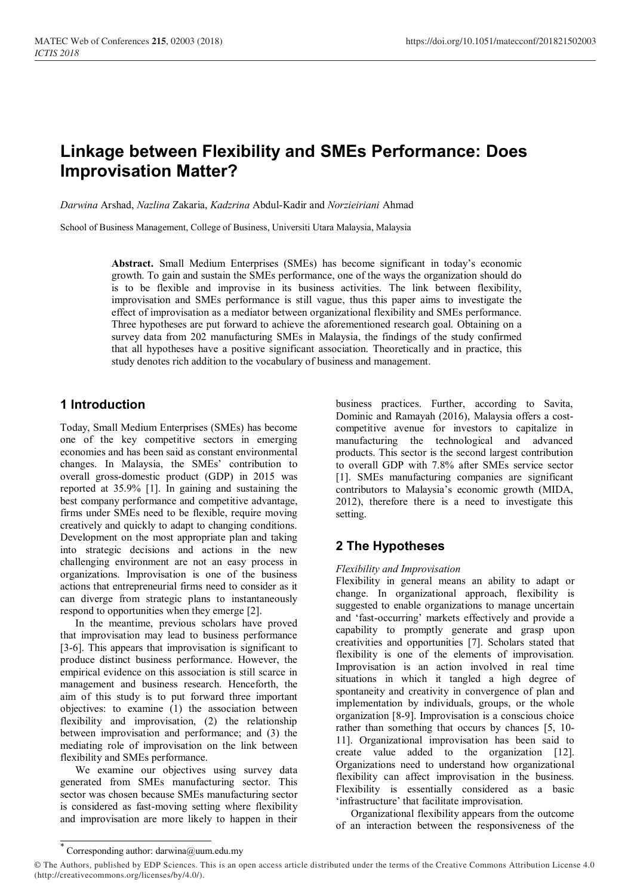# **Linkage between Flexibility and SMEs Performance: Does Improvisation Matter?**

*Darwina* Arshad, *Nazlina* Zakaria, *Kadzrina* Abdul-Kadir and *Norzieiriani* Ahmad

School of Business Management, College of Business, Universiti Utara Malaysia, Malaysia

**Abstract.** Small Medium Enterprises (SMEs) has become significant in today's economic growth. To gain and sustain the SMEs performance, one of the ways the organization should do is to be flexible and improvise in its business activities. The link between flexibility, improvisation and SMEs performance is still vague, thus this paper aims to investigate the effect of improvisation as a mediator between organizational flexibility and SMEs performance. Three hypotheses are put forward to achieve the aforementioned research goal. Obtaining on a survey data from 202 manufacturing SMEs in Malaysia, the findings of the study confirmed that all hypotheses have a positive significant association. Theoretically and in practice, this study denotes rich addition to the vocabulary of business and management.

## **1 Introduction**

Today, Small Medium Enterprises (SMEs) has become one of the key competitive sectors in emerging economies and has been said as constant environmental changes. In Malaysia, the SMEs' contribution to overall gross-domestic product (GDP) in 2015 was reported at 35.9% [1]. In gaining and sustaining the best company performance and competitive advantage, firms under SMEs need to be flexible, require moving creatively and quickly to adapt to changing conditions. Development on the most appropriate plan and taking into strategic decisions and actions in the new challenging environment are not an easy process in organizations. Improvisation is one of the business actions that entrepreneurial firms need to consider as it can diverge from strategic plans to instantaneously respond to opportunities when they emerge [2].

In the meantime, previous scholars have proved that improvisation may lead to business performance [3-6]. This appears that improvisation is significant to produce distinct business performance. However, the empirical evidence on this association is still scarce in management and business research. Henceforth, the aim of this study is to put forward three important objectives: to examine (1) the association between flexibility and improvisation, (2) the relationship between improvisation and performance; and (3) the mediating role of improvisation on the link between flexibility and SMEs performance.

We examine our objectives using survey data generated from SMEs manufacturing sector. This sector was chosen because SMEs manufacturing sector is considered as fast-moving setting where flexibility and improvisation are more likely to happen in their business practices. Further, according to Savita, Dominic and Ramayah (2016), Malaysia offers a costcompetitive avenue for investors to capitalize in manufacturing the technological and advanced products. This sector is the second largest contribution to overall GDP with 7.8% after SMEs service sector [1]. SMEs manufacturing companies are significant contributors to Malaysia's economic growth (MIDA, 2012), therefore there is a need to investigate this setting.

# **2 The Hypotheses**

#### *Flexibility and Improvisation*

Flexibility in general means an ability to adapt or change. In organizational approach, flexibility is suggested to enable organizations to manage uncertain and 'fast-occurring' markets effectively and provide a capability to promptly generate and grasp upon creativities and opportunities [7]. Scholars stated that flexibility is one of the elements of improvisation. Improvisation is an action involved in real time situations in which it tangled a high degree of spontaneity and creativity in convergence of plan and implementation by individuals, groups, or the whole organization [8-9]. Improvisation is a conscious choice rather than something that occurs by chances [5, 10- 11]. Organizational improvisation has been said to create value added to the organization [12]. Organizations need to understand how organizational flexibility can affect improvisation in the business. Flexibility is essentially considered as a basic 'infrastructure' that facilitate improvisation.

Organizational flexibility appears from the outcome of an interaction between the responsiveness of the

<sup>\*</sup> Corresponding author: [darwina@uum.edu.my](mailto:darwina@uum.edu.my)

<sup>©</sup> The Authors, published by EDP Sciences. This is an open access article distributed under the terms of the Creative Commons Attribution License 4.0 (http://creativecommons.org/licenses/by/4.0/).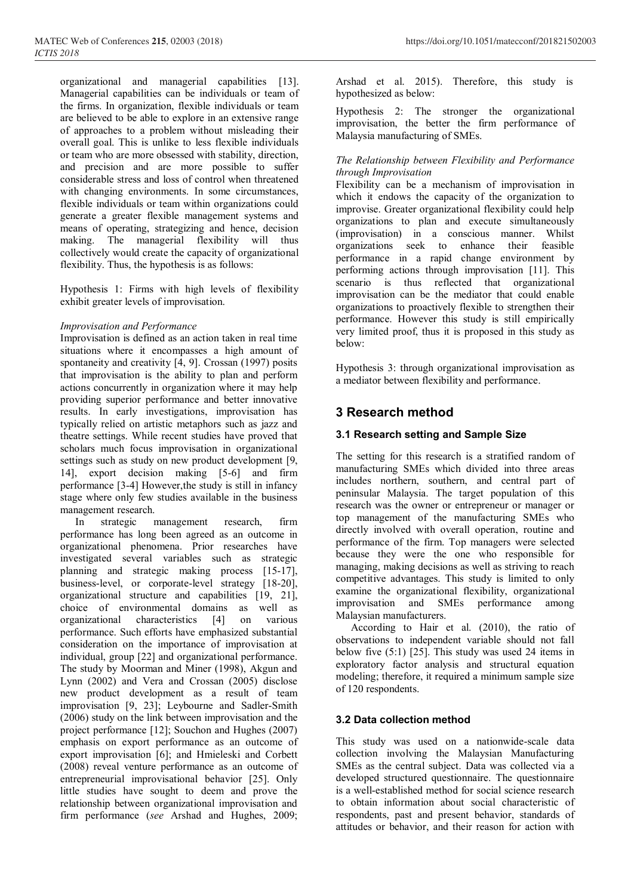organizational and managerial capabilities [13]. Managerial capabilities can be individuals or team of the firms. In organization, flexible individuals or team are believed to be able to explore in an extensive range of approaches to a problem without misleading their overall goal. This is unlike to less flexible individuals or team who are more obsessed with stability, direction, and precision and are more possible to suffer considerable stress and loss of control when threatened with changing environments. In some circumstances, flexible individuals or team within organizations could generate a greater flexible management systems and means of operating, strategizing and hence, decision making. The managerial flexibility will thus collectively would create the capacity of organizational flexibility. Thus, the hypothesis is as follows:

Hypothesis 1: Firms with high levels of flexibility exhibit greater levels of improvisation.

#### *Improvisation and Performance*

Improvisation is defined as an action taken in real time situations where it encompasses a high amount of spontaneity and creativity [4, 9]. Crossan (1997) posits that improvisation is the ability to plan and perform actions concurrently in organization where it may help providing superior performance and better innovative results. In early investigations, improvisation has typically relied on artistic metaphors such as jazz and theatre settings. While recent studies have proved that scholars much focus improvisation in organizational settings such as study on new product development [9, 14], export decision making [5-6] and firm performance [3-4] However,the study is still in infancy stage where only few studies available in the business management research.

In strategic management research, firm performance has long been agreed as an outcome in organizational phenomena. Prior researches have investigated several variables such as strategic planning and strategic making process [15-17], business-level, or corporate-level strategy [18-20], organizational structure and capabilities [19, 21], choice of environmental domains as well as organizational characteristics [4] on various performance. Such efforts have emphasized substantial consideration on the importance of improvisation at individual, group [22] and organizational performance. The study by Moorman and Miner (1998), Akgun and Lynn (2002) and Vera and Crossan (2005) disclose new product development as a result of team improvisation [9, 23]; Leybourne and Sadler-Smith (2006) study on the link between improvisation and the project performance [12]; Souchon and Hughes (2007) emphasis on export performance as an outcome of export improvisation [6]; and Hmieleski and Corbett (2008) reveal venture performance as an outcome of entrepreneurial improvisational behavior [25]. Only little studies have sought to deem and prove the relationship between organizational improvisation and firm performance (*see* Arshad and Hughes, 2009;

Arshad et al. 2015). Therefore, this study is hypothesized as below:

Hypothesis 2: The stronger the organizational improvisation, the better the firm performance of Malaysia manufacturing of SMEs.

#### *The Relationship between Flexibility and Performance through Improvisation*

Flexibility can be a mechanism of improvisation in which it endows the capacity of the organization to improvise. Greater organizational flexibility could help organizations to plan and execute simultaneously (improvisation) in a conscious manner. Whilst organizations seek to enhance their feasible organizations seek to enhance their performance in a rapid change environment by performing actions through improvisation [11]. This scenario is thus reflected that organizational improvisation can be the mediator that could enable organizations to proactively flexible to strengthen their performance. However this study is still empirically very limited proof, thus it is proposed in this study as below:

Hypothesis 3: through organizational improvisation as a mediator between flexibility and performance.

### **3 Research method**

#### **3.1 Research setting and Sample Size**

The setting for this research is a stratified random of manufacturing SMEs which divided into three areas includes northern, southern, and central part of peninsular Malaysia. The target population of this research was the owner or entrepreneur or manager or top management of the manufacturing SMEs who directly involved with overall operation, routine and performance of the firm. Top managers were selected because they were the one who responsible for managing, making decisions as well as striving to reach competitive advantages. This study is limited to only examine the organizational flexibility, organizational improvisation and SMEs performance among Malaysian manufacturers.

According to Hair et al. [\(2010\),](http://www.emeraldinsight.com.eserv.uum.edu.my/doi/full/10.1108/17515631211246221) the ratio of observations to independent variable should not fall below five (5:1) [25]. This study was used 24 items in exploratory factor analysis and structural equation modeling; therefore, it required a minimum sample size of 120 respondents.

#### **3.2 Data collection method**

This study was used on a nationwide-scale data collection involving the Malaysian Manufacturing SMEs as the central subject. Data was collected via a developed structured questionnaire. The questionnaire is a well-established method for social science research to obtain information about social characteristic of respondents, past and present behavior, standards of attitudes or behavior, and their reason for action with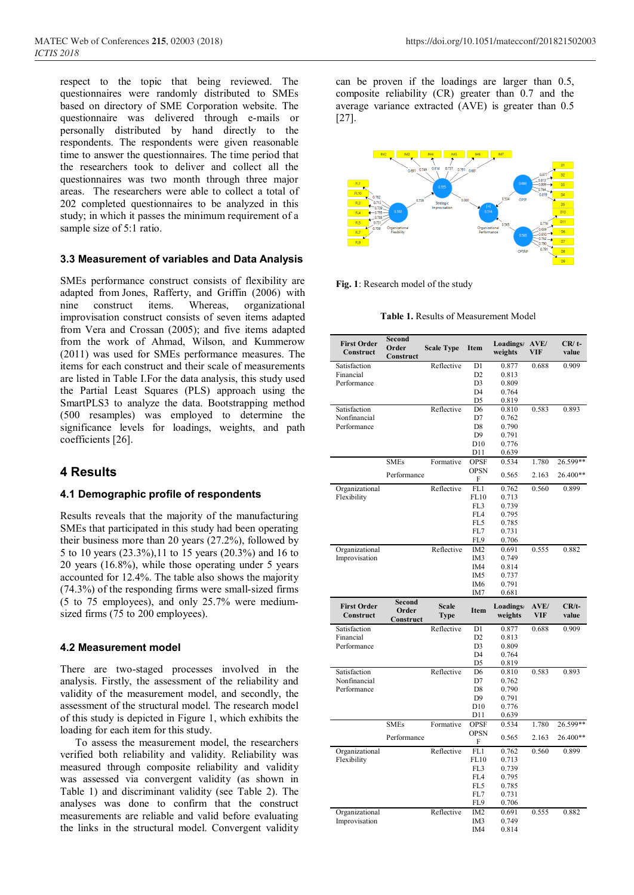respect to the topic that being reviewed. The questionnaires were randomly distributed to SMEs based on directory of SME Corporation website. The questionnaire was delivered through e-mails or personally distributed by hand directly to the respondents. The respondents were given reasonable time to answer the questionnaires. The time period that the researchers took to deliver and collect all the questionnaires was two month through three major areas. The researchers were able to collect a total of 202 completed questionnaires to be analyzed in this study; in which it passes the minimum requirement of a sample size of 5:1 ratio.

#### **3.3 Measurement of variables and Data Analysis**

SMEs performance construct consists of flexibility are adapted from Jones, Rafferty, and Griffin (2006) with nine construct items. Whereas, organizational improvisation construct consists of seven items adapted from Vera and Crossan (2005); and five items adapted from the work of Ahmad, Wilson, and Kummerow (2011) was used for SMEs performance measures. The items for each construct and their scale of measurements are listed in [Table I.](http://www.emeraldinsight.com.eserv.uum.edu.my/doi/full/10.1108/17515631211246221)For the data analysis, this study used the Partial Least Squares (PLS) approach using the SmartPLS3 to analyze the data. Bootstrapping method (500 resamples) was employed to determine the significance levels for loadings, weights, and path coefficients [26].

### **4 Results**

#### **4.1 Demographic profile of respondents**

Results reveals that the majority of the manufacturing SMEs that participated in this study had been operating their business more than 20 years (27.2%), followed by 5 to 10 years (23.3%),11 to 15 years (20.3%) and 16 to 20 years (16.8%), while those operating under 5 years accounted for 12.4%. The table also shows the majority (74.3%) of the responding firms were small-sized firms (5 to 75 employees), and only 25.7% were mediumsized firms (75 to 200 employees).

#### **4.2 Measurement model**

There are two-staged processes involved in the analysis. Firstly, the assessment of the reliability and validity of the measurement model, and secondly, the assessment of the structural model. The research model of this study is depicted in Figure 1, which exhibits the loading for each item for this study.

To assess the measurement model, the researchers verified both reliability and validity. Reliability was measured through composite reliability and validity was assessed via convergent validity (as shown in [Table 1\)](http://www.emeraldinsight.com.eserv.uum.edu.my/doi/full/10.1108/17515631211246221) and discriminant validity (see [Table 2\)](http://www.emeraldinsight.com.eserv.uum.edu.my/doi/full/10.1108/17515631211246221). The analyses was done to confirm that the construct measurements are reliable and valid before evaluating the links in the structural model. Convergent validity can be proven if the loadings are larger than 0.5, composite reliability (CR) greater than 0.7 and the average variance extracted (AVE) is greater than 0.5 [27].



**Fig. 1**: Research model of the study

**Table 1.** Results of Measurement Model

| <b>First Order</b><br>Construct | Second<br>Order<br>Construct | <b>Scale Type</b>           | Item                             | Loadings/<br>weights       | AVE/<br>VIF        | $CR/t$ -<br>value |
|---------------------------------|------------------------------|-----------------------------|----------------------------------|----------------------------|--------------------|-------------------|
| Satisfaction                    |                              | Reflective                  | D1                               | 0.877                      | 0.688              | 0.909             |
| Financial                       |                              |                             | D <sub>2</sub>                   | 0.813                      |                    |                   |
| Performance                     |                              |                             | D <sub>3</sub>                   | 0.809                      |                    |                   |
|                                 |                              |                             | D <sub>4</sub>                   | 0.764                      |                    |                   |
|                                 |                              |                             | D <sub>5</sub>                   | 0.819                      |                    |                   |
| Satisfaction                    |                              | Reflective                  | D <sub>6</sub>                   | 0.810                      | 0.583              | 0.893             |
| Nonfinancial                    |                              |                             | D7                               | 0.762                      |                    |                   |
| Performance                     |                              |                             | D <sub>8</sub>                   | 0.790                      |                    |                   |
|                                 |                              |                             | D <sub>9</sub>                   | 0.791                      |                    |                   |
|                                 |                              |                             | D10                              | 0.776                      |                    |                   |
|                                 |                              |                             | D11                              | 0.639                      |                    |                   |
|                                 | <b>SMEs</b>                  | Formative                   | <b>OPSF</b><br><b>OPSN</b>       | 0.534                      | 1.780              | 26.599**          |
|                                 | Performance                  |                             | F                                | 0.565                      | 2.163              | 26.400**          |
| Organizational                  |                              | Reflective                  | FL1                              | 0.762                      | 0.560              | 0.899             |
| Flexibility                     |                              |                             | FL10                             | 0.713                      |                    |                   |
|                                 |                              |                             | FL3                              | 0.739                      |                    |                   |
|                                 |                              |                             | FL4                              | 0.795                      |                    |                   |
|                                 |                              |                             | FL5                              | 0.785                      |                    |                   |
|                                 |                              |                             | FL7                              | 0.731                      |                    |                   |
|                                 |                              |                             | FL9                              | 0.706                      |                    |                   |
| Organizational                  |                              | Reflective                  | IM <sub>2</sub>                  | 0.691                      | 0.555              | 0.882             |
| Improvisation                   |                              |                             | IM <sub>3</sub>                  | 0.749                      |                    |                   |
|                                 |                              |                             | IM4                              | 0.814                      |                    |                   |
|                                 |                              |                             | IM <sub>5</sub>                  | 0.737                      |                    |                   |
|                                 |                              |                             | IM <sub>6</sub>                  | 0.791                      |                    |                   |
|                                 | <b>Second</b>                |                             | IM7                              | 0.681                      |                    |                   |
| <b>First Order</b><br>Construct | Order<br>Construct           | <b>Scale</b><br><b>Type</b> | Item                             | <b>Loadings</b><br>weights | AVE/<br><b>VIF</b> | $CR/t-$<br>value  |
|                                 |                              |                             |                                  |                            |                    |                   |
|                                 |                              |                             |                                  |                            |                    |                   |
| Satisfaction                    |                              | Reflective                  | D1                               | 0.877                      | 0.688              | 0.909             |
| Financial                       |                              |                             | D <sub>2</sub>                   | 0.813                      |                    |                   |
| Performance                     |                              |                             | D <sub>3</sub>                   | 0.809                      |                    |                   |
|                                 |                              |                             | D <sub>4</sub>                   | 0.764                      |                    |                   |
|                                 |                              |                             | D5                               | 0.819                      |                    |                   |
| Satisfaction                    |                              | Reflective                  | D <sub>6</sub>                   | 0.810                      | 0.583              | 0.893             |
| Nonfinancial                    |                              |                             | D7                               | 0.762                      |                    |                   |
| Performance                     |                              |                             | D <sub>8</sub><br>D <sub>9</sub> | 0.790<br>0.791             |                    |                   |
|                                 |                              |                             | D10                              | 0.776                      |                    |                   |
|                                 |                              |                             | D11                              | 0.639                      |                    |                   |
|                                 | <b>SMEs</b>                  | Formative                   | <b>OPSF</b>                      | 0.534                      | 1.780              | $26.599**$        |
|                                 | Performance                  |                             | <b>OPSN</b>                      | 0.565                      | 2.163              | 26.400**          |
|                                 |                              |                             | F                                |                            |                    |                   |
| Organizational                  |                              | Reflective                  | FL1                              | 0.762                      | 0.560              | 0.899             |
| Flexibility                     |                              |                             | FL10                             | 0.713                      |                    |                   |
|                                 |                              |                             | FL3                              | 0.739                      |                    |                   |
|                                 |                              |                             | FL4<br>FL <sub>5</sub>           | 0.795                      |                    |                   |
|                                 |                              |                             |                                  | 0.785                      |                    |                   |
|                                 |                              |                             | FL7<br>FL9                       | 0.731                      |                    |                   |
|                                 |                              |                             |                                  | 0.706                      |                    |                   |
| Organizational<br>Improvisation |                              | Reflective                  | IM <sub>2</sub><br>IM3           | 0.691<br>0.749             | 0.555              | 0.882             |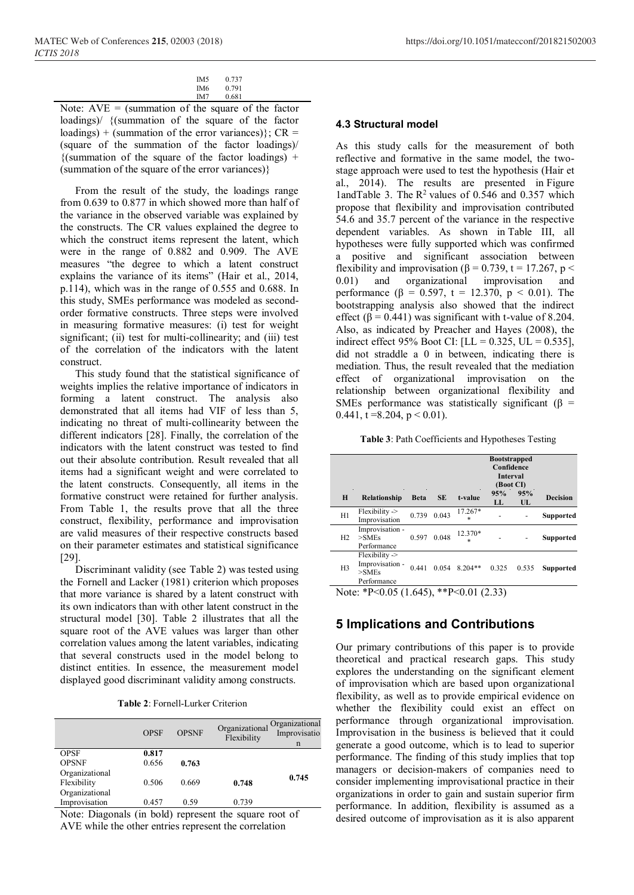| IM5 | 0.737 |
|-----|-------|
| IM6 | 0.791 |
| IM7 | 0.681 |

Note:  $AVE =$  (summation of the square of the factor loadings)/ {(summation of the square of the factor loadings) + (summation of the error variances) $\}$ ; CR = (square of the summation of the factor loadings)/  ${$ (summation of the square of the factor loadings) + (summation of the square of the error variances)}

From the result of the study, the loadings range from 0.639 to 0.877 in which showed more than half of the variance in the observed variable was explained by the constructs. The CR values explained the degree to which the construct items represent the latent, which were in the range of 0.882 and 0.909. The AVE measures "the degree to which a latent construct explains the variance of its items" (Hair et al., 2014, p.114), which was in the range of 0.555 and 0.688. In this study, SMEs performance was modeled as secondorder formative constructs. Three steps were involved in measuring formative measures: (i) test for weight significant; (ii) test for multi-collinearity; and (iii) test of the correlation of the indicators with the latent construct.

This study found that the statistical significance of weights implies the relative importance of indicators in forming a latent construct. The analysis also demonstrated that all items had VIF of less than 5, indicating no threat of multi-collinearity between the different indicators [28]. Finally, the correlation of the indicators with the latent construct was tested to find out their absolute contribution. Result revealed that all items had a significant weight and were correlated to the latent constructs. Consequently, all items in the formative construct were retained for further analysis. From Table 1, the results prove that all the three construct, flexibility, performance and improvisation are valid measures of their respective constructs based on their parameter estimates and statistical significance [29].

Discriminant validity (see [Table 2](http://www.emeraldinsight.com.eserv.uum.edu.my/doi/full/10.1108/17515631211246221)) was tested using the [Fornell and Lacker \(1981\)](http://www.emeraldinsight.com.eserv.uum.edu.my/doi/full/10.1108/17515631211246221) criterion which proposes that more variance is shared by a latent construct with its own indicators than with other latent construct in the structural model [30]. Table 2 illustrates that all the square root of the AVE values was larger than other correlation values among the latent variables, indicating that several constructs used in the model belong to distinct entities. In essence, the measurement model displayed good discriminant validity among constructs.

|                | <b>OPSF</b> | <b>OPSNF</b> | Organizational<br>Flexibility | Organizational<br>Improvisatio<br>n |
|----------------|-------------|--------------|-------------------------------|-------------------------------------|
| <b>OPSF</b>    | 0.817       |              |                               |                                     |
| <b>OPSNF</b>   | 0.656       | 0.763        |                               |                                     |
| Organizational |             |              |                               | 0.745                               |
| Flexibility    | 0.506       | 0.669        | 0.748                         |                                     |
| Organizational |             |              |                               |                                     |
| Improvisation  | 0.457       | 0.59         | 0.739                         |                                     |

Note: Diagonals (in bold) represent the square root of AVE while the other entries represent the correlation

#### **4.3 Structural model**

As this study calls for the measurement of both reflective and formative in the same model, the twostage approach were used to test the hypothesis (Hair et al., 2014). The results are presented in [Figure](http://www.emeraldinsight.com.eserv.uum.edu.my/doi/full/10.1108/17515631211246221) 1an[dTable 3](http://www.emeraldinsight.com.eserv.uum.edu.my/doi/full/10.1108/17515631211246221). The  $R^2$  values of 0.546 and 0.357 which propose that flexibility and improvisation contributed 54.6 and 35.7 percent of the variance in the respective dependent variables. As shown in [Table III,](http://www.emeraldinsight.com.eserv.uum.edu.my/doi/full/10.1108/17515631211246221) all hypotheses were fully supported which was confirmed a positive and significant association between flexibility and improvisation ( $\beta$  = 0.739, t = 17.267, p < 0.01) and organizational improvisation and performance (β = 0.597, t = 12.370, p < 0.01). The bootstrapping analysis also showed that the indirect effect ( $\beta$  = 0.441) was significant with t-value of 8.204. Also, as indicated by Preacher and Hayes (2008), the indirect effect 95% Boot CI:  $[LL = 0.325, UL = 0.535]$ , did not straddle a 0 in between, indicating there is mediation. Thus, the result revealed that the mediation effect of organizational improvisation on the relationship between organizational flexibility and SMEs performance was statistically significant ( $\beta$  = 0.441, t = 8.204,  $p < 0.01$ ).

**Table 3**: Path Coefficients and Hypotheses Testing

|                                                |                                                                     |             |           |                   | <b>Bootstrapped</b><br>Confidence<br>Interval<br>(Boot CI) |           |                  |
|------------------------------------------------|---------------------------------------------------------------------|-------------|-----------|-------------------|------------------------------------------------------------|-----------|------------------|
| H                                              | <b>Relationship</b>                                                 | <b>Beta</b> | <b>SE</b> | t-value           | 95%<br>LL                                                  | 95%<br>UL | <b>Decision</b>  |
| H1                                             | $F$ lexibility $\geq$<br>Improvisation                              | 0.739       | 0.043     | 17.267*<br>$\ast$ |                                                            |           | <b>Supported</b> |
| H2                                             | Improvisation -<br>$>$ SMEs<br>Performance                          | 0.597       | 0.048     | 12.370*<br>$\ast$ |                                                            |           | <b>Supported</b> |
| H <sub>3</sub>                                 | $F$ lexibility $\geq$<br>Improvisation -<br>$>$ SMEs<br>Performance | 0.441       | 0.054     | $8.204**$         | 0.325                                                      | 0.535     | Supported        |
| ** $P<0.01(2.33)$<br>Note: *P<0.05 $(1.645)$ , |                                                                     |             |           |                   |                                                            |           |                  |

### **5 Implications and Contributions**

Our primary contributions of this paper is to provide theoretical and practical research gaps. This study explores the understanding on the significant element of improvisation which are based upon organizational flexibility, as well as to provide empirical evidence on whether the flexibility could exist an effect on performance through organizational improvisation. Improvisation in the business is believed that it could generate a good outcome, which is to lead to superior performance. The finding of this study implies that top managers or decision‐makers of companies need to consider implementing improvisational practice in their organizations in order to gain and sustain superior firm performance. In addition, flexibility is assumed as a desired outcome of improvisation as it is also apparent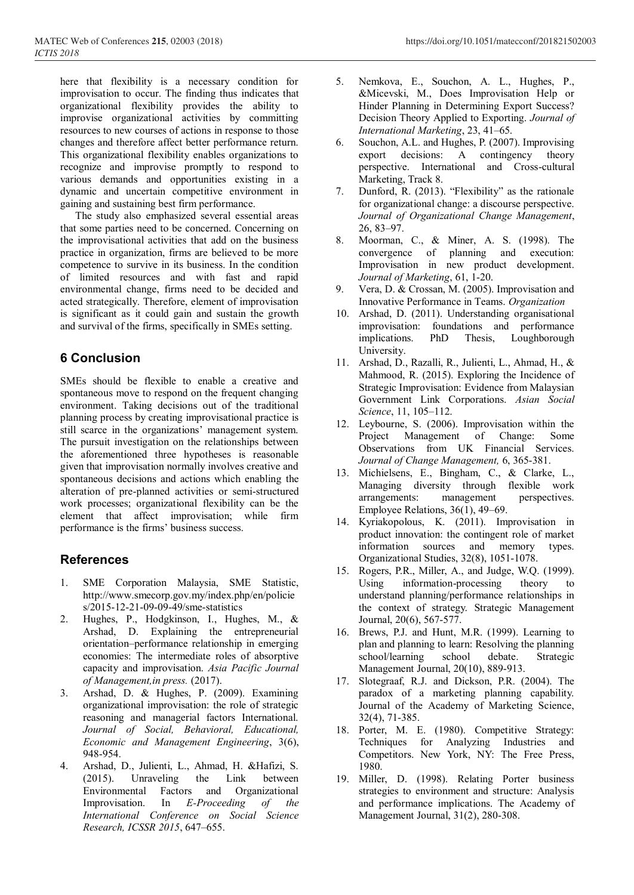here that flexibility is a necessary condition for improvisation to occur. The finding thus indicates that organizational flexibility provides the ability to improvise organizational activities by committing resources to new courses of actions in response to those changes and therefore affect better performance return. This organizational flexibility enables organizations to recognize and improvise promptly to respond to various demands and opportunities existing in a dynamic and uncertain competitive environment in gaining and sustaining best firm performance.

The study also emphasized several essential areas that some parties need to be concerned. Concerning on the improvisational activities that add on the business practice in organization, firms are believed to be more competence to survive in its business. In the condition of limited resources and with fast and rapid environmental change, firms need to be decided and acted strategically. Therefore, element of improvisation is significant as it could gain and sustain the growth and survival of the firms, specifically in SMEs setting.

# **6 Conclusion**

SMEs should be flexible to enable a creative and spontaneous move to respond on the frequent changing environment. Taking decisions out of the traditional planning process by creating improvisational practice is still scarce in the organizations' management system. The pursuit investigation on the relationships between the aforementioned three hypotheses is reasonable given that improvisation normally involves creative and spontaneous decisions and actions which enabling the alteration of pre-planned activities or semi-structured work processes; organizational flexibility can be the element that affect improvisation; while firm performance is the firms' business success.

## **References**

- 1. SME Corporation Malaysia, SME Statistic, http://www.smecorp.gov.my/index.php/en/policie s/2015-12-21-09-09-49/sme-statistics
- 2. Hughes, P., Hodgkinson, I., Hughes, M., & Arshad, D. Explaining the entrepreneurial orientation–performance relationship in emerging economies: The intermediate roles of absorptive capacity and improvisation. *Asia Pacific Journal of Management,in press.* (2017).
- 3. Arshad, D. & Hughes, P. (2009). Examining organizational improvisation: the role of strategic reasoning and managerial factors International. *Journal of Social, Behavioral, Educational, Economic and Management Engineering*, 3(6), 948-954.
- 4. Arshad, D., Julienti, L., Ahmad, H. &Hafizi, S. (2015). Unraveling the Link between Environmental Factors and Organizational Improvisation. In *E-Proceeding of the International Conference on Social Science Research, ICSSR 2015*, 647–655.
- Hinder Planning in Determining Export Success? Decision Theory Applied to Exporting. *Journal of International Marketing*, 23, 41–65.
- 6. Souchon, A.L. and Hughes, P. (2007). Improvising export decisions: A contingency theory perspective. International and Cross-cultural Marketing, Track 8.
- 7. Dunford, R. (2013). "Flexibility" as the rationale for organizational change: a discourse perspective. *Journal of Organizational Change Management*, 26, 83–97.
- 8. Moorman, C., & Miner, A. S. (1998). The convergence of planning and execution: Improvisation in new product development. *Journal of Marketing*, 61, 1-20.
- 9. Vera, D. & Crossan, M. (2005). Improvisation and Innovative Performance in Teams. *Organization*
- 10. Arshad, D. (2011). Understanding organisational improvisation: foundations and performance implications. PhD Thesis, Loughborough University.
- 11. Arshad, D., Razalli, R., Julienti, L., Ahmad, H., & Mahmood, R. (2015). Exploring the Incidence of Strategic Improvisation: Evidence from Malaysian Government Link Corporations. *Asian Social Science*, 11, 105–112.
- 12. Leybourne, S. (2006). Improvisation within the Project Management of Change: Some Observations from UK Financial Services. *Journal of Change Management,* 6, 365-381.
- 13. Michielsens, E., Bingham, C., & Clarke, L., Managing diversity through flexible work arrangements: management perspectives. Employee Relations, 36(1), 49–69.
- 14. Kyriakopolous, K. (2011). Improvisation in product innovation: the contingent role of market information sources and memory types. Organizational Studies, 32(8), 1051-1078.
- 15. Rogers, P.R., Miller, A., and Judge, W.Q. (1999). Using information-processing theory to understand planning/performance relationships in the context of strategy. Strategic Management Journal, 20(6), 567-577.
- 16. Brews, P.J. and Hunt, M.R. (1999). Learning to plan and planning to learn: Resolving the planning school/learning school debate. Strategic Management Journal, 20(10), 889-913.
- 17. Slotegraaf, R.J. and Dickson, P.R. (2004). The paradox of a marketing planning capability. Journal of the Academy of Marketing Science, 32(4), 71-385.
- 18. Porter, M. E. (1980). Competitive Strategy: Techniques for Analyzing Industries and Competitors. New York, NY: The Free Press, 1980.
- 19. Miller, D. (1998). Relating Porter business strategies to environment and structure: Analysis and performance implications. The Academy of Management Journal, 31(2), 280-308.